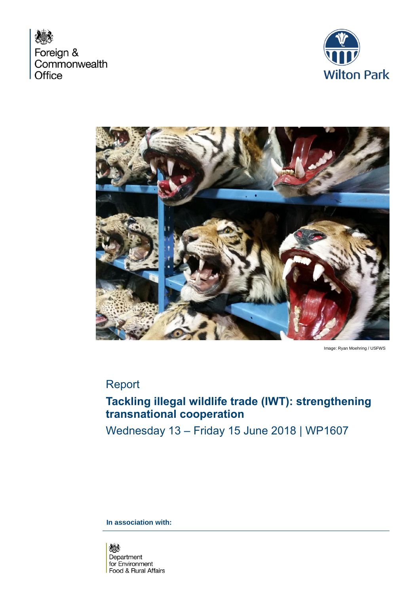





Image: Ryan Moehring / USFWS

## Report

## **Tackling illegal wildlife trade (IWT): strengthening transnational cooperation**

Wednesday 13 – Friday 15 June 2018 | WP1607

**In association with:** 

燃 Department for Environment Food & Rural Affairs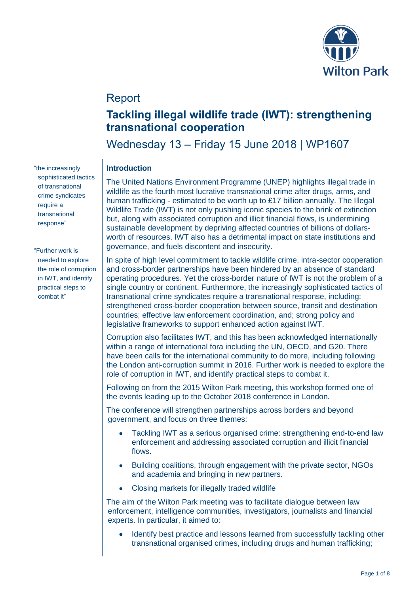

## Report

# **Tackling illegal wildlife trade (IWT): strengthening transnational cooperation**

Wednesday 13 – Friday 15 June 2018 | WP1607

## **Introduction**

The United Nations Environment Programme (UNEP) highlights illegal trade in wildlife as the fourth most lucrative transnational crime after drugs, arms, and human trafficking - estimated to be worth up to £17 billion annually. The Illegal Wildlife Trade (IWT) is not only pushing iconic species to the brink of extinction but, along with associated corruption and illicit financial flows, is undermining sustainable development by depriving affected countries of billions of dollarsworth of resources. IWT also has a detrimental impact on state institutions and governance, and fuels discontent and insecurity.

In spite of high level commitment to tackle wildlife crime, intra-sector cooperation and cross-border partnerships have been hindered by an absence of standard operating procedures. Yet the cross-border nature of IWT is not the problem of a single country or continent. Furthermore, the increasingly sophisticated tactics of transnational crime syndicates require a transnational response, including: strengthened cross-border cooperation between source, transit and destination countries; effective law enforcement coordination, and; strong policy and legislative frameworks to support enhanced action against IWT.

Corruption also facilitates IWT, and this has been acknowledged internationally within a range of international fora including the UN, OECD, and G20. There have been calls for the international community to do more, including following the London anti-corruption summit in 2016. Further work is needed to explore the role of corruption in IWT, and identify practical steps to combat it.

Following on from the 2015 Wilton Park meeting, this workshop formed one of the events leading up to the October 2018 conference in London.

The conference will strengthen partnerships across borders and beyond government, and focus on three themes:

- Tackling IWT as a serious organised crime: strengthening end-to-end law enforcement and addressing associated corruption and illicit financial flows.
- Building coalitions, through engagement with the private sector, NGOs and academia and bringing in new partners.
- Closing markets for illegally traded wildlife

The aim of the Wilton Park meeting was to facilitate dialogue between law enforcement, intelligence communities, investigators, journalists and financial experts. In particular, it aimed to:

• Identify best practice and lessons learned from successfully tackling other transnational organised crimes, including drugs and human trafficking;

"the increasingly sophisticated tactics of transnational crime syndicates require a transnational response"

"Further work is needed to explore the role of corruption in IWT, and identify practical steps to combat it"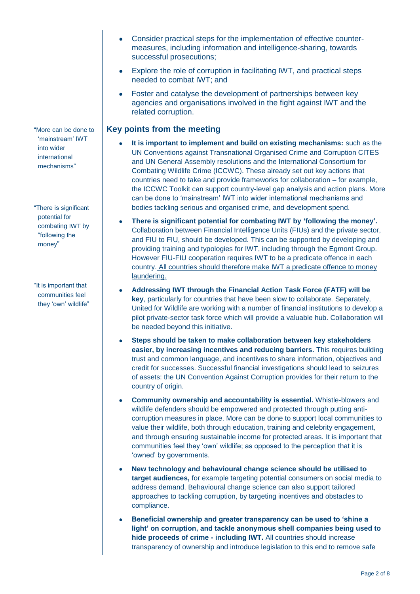"More can be done to 'mainstream' IWT into wider international mechanisms"

"There is significant potential for combating IWT by "following the money"

"It is important that communities feel they 'own' wildlife"

- Consider practical steps for the implementation of effective countermeasures, including information and intelligence-sharing, towards successful prosecutions;
- Explore the role of corruption in facilitating IWT, and practical steps needed to combat IWT; and
- Foster and catalyse the development of partnerships between key agencies and organisations involved in the fight against IWT and the related corruption.

## **Key points from the meeting**

- **It is important to implement and build on existing mechanisms:** such as the UN Conventions against Transnational Organised Crime and Corruption CITES and UN General Assembly resolutions and the International Consortium for Combating Wildlife Crime (ICCWC). These already set out key actions that countries need to take and provide frameworks for collaboration – for example, the ICCWC Toolkit can support country-level gap analysis and action plans. More can be done to 'mainstream' IWT into wider international mechanisms and bodies tackling serious and organised crime, and development spend.
- **There is significant potential for combating IWT by 'following the money'.** Collaboration between Financial Intelligence Units (FIUs) and the private sector, and FIU to FIU, should be developed. This can be supported by developing and providing training and typologies for IWT, including through the Egmont Group. However FIU-FIU cooperation requires IWT to be a predicate offence in each country. All countries should therefore make IWT a predicate offence to money laundering.
- **Addressing IWT through the Financial Action Task Force (FATF) will be key**, particularly for countries that have been slow to collaborate. Separately, United for Wildlife are working with a number of financial institutions to develop a pilot private-sector task force which will provide a valuable hub. Collaboration will be needed beyond this initiative.
- **Steps should be taken to make collaboration between key stakeholders easier, by increasing incentives and reducing barriers.** This requires building trust and common language, and incentives to share information, objectives and credit for successes. Successful financial investigations should lead to seizures of assets: the UN Convention Against Corruption provides for their return to the country of origin.
- **Community ownership and accountability is essential.** Whistle-blowers and wildlife defenders should be empowered and protected through putting anticorruption measures in place. More can be done to support local communities to value their wildlife, both through education, training and celebrity engagement, and through ensuring sustainable income for protected areas. It is important that communities feel they 'own' wildlife; as opposed to the perception that it is 'owned' by governments.
- **New technology and behavioural change science should be utilised to target audiences,** for example targeting potential consumers on social media to address demand. Behavioural change science can also support tailored approaches to tackling corruption, by targeting incentives and obstacles to compliance.
- **Beneficial ownership and greater transparency can be used to 'shine a light' on corruption, and tackle anonymous shell companies being used to hide proceeds of crime - including IWT.** All countries should increase transparency of ownership and introduce legislation to this end to remove safe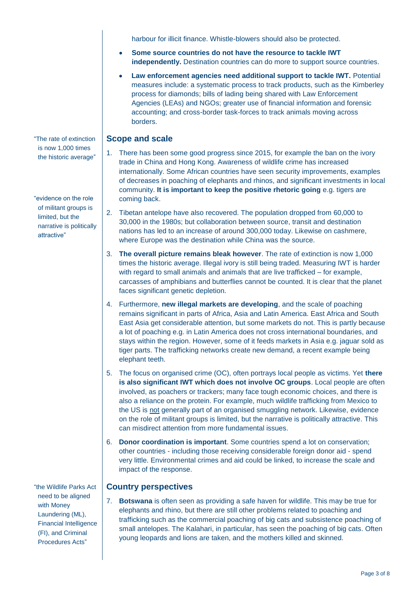harbour for illicit finance. Whistle-blowers should also be protected.

- **Some source countries do not have the resource to tackle IWT independently.** Destination countries can do more to support source countries.
- **Law enforcement agencies need additional support to tackle IWT.** Potential measures include: a systematic process to track products, such as the Kimberley process for diamonds; bills of lading being shared with Law Enforcement Agencies (LEAs) and NGOs; greater use of financial information and forensic accounting; and cross-border task-forces to track animals moving across borders.

## **Scope and scale**

- 1. There has been some good progress since 2015, for example the ban on the ivory trade in China and Hong Kong. Awareness of wildlife crime has increased internationally. Some African countries have seen security improvements, examples of decreases in poaching of elephants and rhinos, and significant investments in local community. **It is important to keep the positive rhetoric going** e.g. tigers are coming back.
- 2. Tibetan antelope have also recovered. The population dropped from 60,000 to 30,000 in the 1980s; but collaboration between source, transit and destination nations has led to an increase of around 300,000 today. Likewise on cashmere, where Europe was the destination while China was the source.
- 3. **The overall picture remains bleak however**. The rate of extinction is now 1,000 times the historic average. Illegal ivory is still being traded. Measuring IWT is harder with regard to small animals and animals that are live trafficked – for example, carcasses of amphibians and butterflies cannot be counted. It is clear that the planet faces significant genetic depletion.
- 4. Furthermore, **new illegal markets are developing**, and the scale of poaching remains significant in parts of Africa, Asia and Latin America. East Africa and South East Asia get considerable attention, but some markets do not. This is partly because a lot of poaching e.g. in Latin America does not cross international boundaries, and stays within the region. However, some of it feeds markets in Asia e.g. jaguar sold as tiger parts. The trafficking networks create new demand, a recent example being elephant teeth.
- 5. The focus on organised crime (OC), often portrays local people as victims. Yet **there is also significant IWT which does not involve OC groups**. Local people are often involved, as poachers or trackers; many face tough economic choices, and there is also a reliance on the protein. For example, much wildlife trafficking from Mexico to the US is not generally part of an organised smuggling network. Likewise, evidence on the role of militant groups is limited, but the narrative is politically attractive. This can misdirect attention from more fundamental issues.
- 6. **Donor coordination is important**. Some countries spend a lot on conservation; other countries - including those receiving considerable foreign donor aid - spend very little. Environmental crimes and aid could be linked, to increase the scale and impact of the response.

### **Country perspectives**

7. **Botswana** is often seen as providing a safe haven for wildlife. This may be true for elephants and rhino, but there are still other problems related to poaching and trafficking such as the commercial poaching of big cats and subsistence poaching of small antelopes. The Kalahari, in particular, has seen the poaching of big cats. Often young leopards and lions are taken, and the mothers killed and skinned.

"The rate of extinction is now 1,000 times the historic average"

"evidence on the role of militant groups is limited, but the narrative is politically attractive"

"the Wildlife Parks Act need to be aligned with Money Laundering (ML), Financial Intelligence (FI), and Criminal Procedures Acts"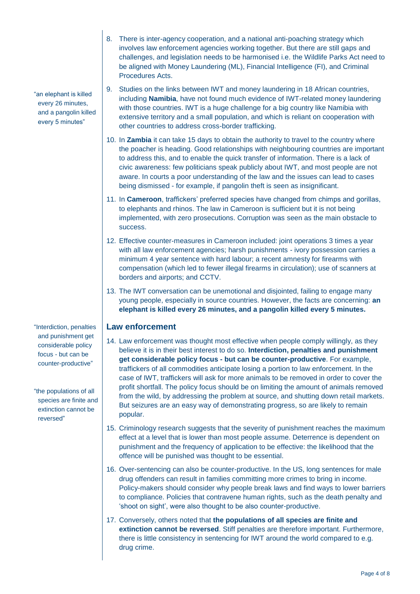- 8. There is inter-agency cooperation, and a national anti-poaching strategy which involves law enforcement agencies working together. But there are still gaps and challenges, and legislation needs to be harmonised i.e. the Wildlife Parks Act need to be aligned with Money Laundering (ML), Financial Intelligence (FI), and Criminal Procedures Acts.
- 9. Studies on the links between IWT and money laundering in 18 African countries, including **Namibia**, have not found much evidence of IWT-related money laundering with those countries. IWT is a huge challenge for a big country like Namibia with extensive territory and a small population, and which is reliant on cooperation with other countries to address cross-border trafficking.
- 10. In **Zambia** it can take 15 days to obtain the authority to travel to the country where the poacher is heading. Good relationships with neighbouring countries are important to address this, and to enable the quick transfer of information. There is a lack of civic awareness: few politicians speak publicly about IWT, and most people are not aware. In courts a poor understanding of the law and the issues can lead to cases being dismissed - for example, if pangolin theft is seen as insignificant.
- 11. In **Cameroon**, traffickers' preferred species have changed from chimps and gorillas, to elephants and rhinos. The law in Cameroon is sufficient but it is not being implemented, with zero prosecutions. Corruption was seen as the main obstacle to success.
- 12. Effective counter-measures in Cameroon included: joint operations 3 times a year with all law enforcement agencies; harsh punishments - ivory possession carries a minimum 4 year sentence with hard labour; a recent amnesty for firearms with compensation (which led to fewer illegal firearms in circulation); use of scanners at borders and airports; and CCTV.
- 13. The IWT conversation can be unemotional and disjointed, failing to engage many young people, especially in source countries. However, the facts are concerning: **an elephant is killed every 26 minutes, and a pangolin killed every 5 minutes.**

#### **Law enforcement**

- 14. Law enforcement was thought most effective when people comply willingly, as they believe it is in their best interest to do so. **Interdiction, penalties and punishment get considerable policy focus - but can be counter-productive**. For example, traffickers of all commodities anticipate losing a portion to law enforcement. In the case of IWT, traffickers will ask for more animals to be removed in order to cover the profit shortfall. The policy focus should be on limiting the amount of animals removed from the wild, by addressing the problem at source, and shutting down retail markets. But seizures are an easy way of demonstrating progress, so are likely to remain popular.
- 15. Criminology research suggests that the severity of punishment reaches the maximum effect at a level that is lower than most people assume. Deterrence is dependent on punishment and the frequency of application to be effective: the likelihood that the offence will be punished was thought to be essential.
- 16. Over-sentencing can also be counter-productive. In the US, long sentences for male drug offenders can result in families committing more crimes to bring in income. Policy-makers should consider why people break laws and find ways to lower barriers to compliance. Policies that contravene human rights, such as the death penalty and 'shoot on sight', were also thought to be also counter-productive.
- 17. Conversely, others noted that **the populations of all species are finite and extinction cannot be reversed**. Stiff penalties are therefore important. Furthermore, there is little consistency in sentencing for IWT around the world compared to e.g. drug crime.

every 26 minutes, and a pangolin killed every 5 minutes"

"an elephant is killed

"Interdiction, penalties and punishment get considerable policy focus - but can be counter-productive"

"the populations of all species are finite and extinction cannot be reversed"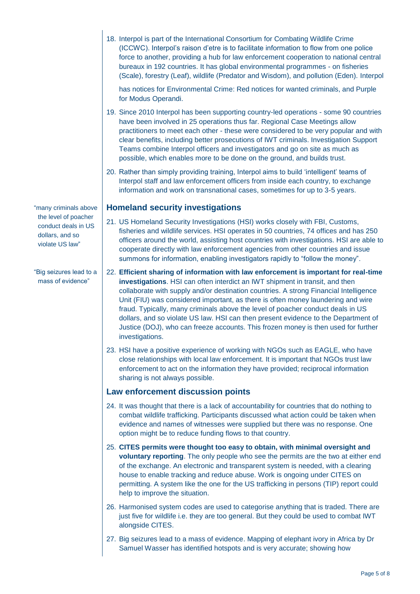18. Interpol is part of the International Consortium for Combating Wildlife Crime (ICCWC). Interpol's raison d'etre is to facilitate information to flow from one police force to another, providing a hub for law enforcement cooperation to national central bureaux in 192 countries. It has global environmental programmes - on fisheries (Scale), forestry (Leaf), wildlife (Predator and Wisdom), and pollution (Eden). Interpol

has notices for Environmental Crime: Red notices for wanted criminals, and Purple for Modus Operandi.

- 19. Since 2010 Interpol has been supporting country-led operations some 90 countries have been involved in 25 operations thus far. Regional Case Meetings allow practitioners to meet each other - these were considered to be very popular and with clear benefits, including better prosecutions of IWT criminals. Investigation Support Teams combine Interpol officers and investigators and go on site as much as possible, which enables more to be done on the ground, and builds trust.
- 20. Rather than simply providing training, Interpol aims to build 'intelligent' teams of Interpol staff and law enforcement officers from inside each country, to exchange information and work on transnational cases, sometimes for up to 3-5 years.

#### **Homeland security investigations**

- 21. US Homeland Security Investigations (HSI) works closely with FBI, Customs, fisheries and wildlife services. HSI operates in 50 countries, 74 offices and has 250 officers around the world, assisting host countries with investigations. HSI are able to cooperate directly with law enforcement agencies from other countries and issue summons for information, enabling investigators rapidly to "follow the money".
- 22. **Efficient sharing of information with law enforcement is important for real-time investigations**. HSI can often interdict an IWT shipment in transit, and then collaborate with supply and/or destination countries. A strong Financial Intelligence Unit (FIU) was considered important, as there is often money laundering and wire fraud. Typically, many criminals above the level of poacher conduct deals in US dollars, and so violate US law. HSI can then present evidence to the Department of Justice (DOJ), who can freeze accounts. This frozen money is then used for further investigations.
- 23. HSI have a positive experience of working with NGOs such as EAGLE, who have close relationships with local law enforcement. It is important that NGOs trust law enforcement to act on the information they have provided; reciprocal information sharing is not always possible.

#### **Law enforcement discussion points**

- 24. It was thought that there is a lack of accountability for countries that do nothing to combat wildlife trafficking. Participants discussed what action could be taken when evidence and names of witnesses were supplied but there was no response. One option might be to reduce funding flows to that country.
- 25. **CITES permits were thought too easy to obtain, with minimal oversight and voluntary reporting**. The only people who see the permits are the two at either end of the exchange. An electronic and transparent system is needed, with a clearing house to enable tracking and reduce abuse. Work is ongoing under CITES on permitting. A system like the one for the US trafficking in persons (TIP) report could help to improve the situation.
- 26. Harmonised system codes are used to categorise anything that is traded. There are just five for wildlife i.e. they are too general. But they could be used to combat IWT alongside CITES.
- 27. Big seizures lead to a mass of evidence. Mapping of elephant ivory in Africa by Dr Samuel Wasser has identified hotspots and is very accurate; showing how

"many criminals above the level of poacher conduct deals in US dollars, and so violate US law"

"Big seizures lead to a mass of evidence"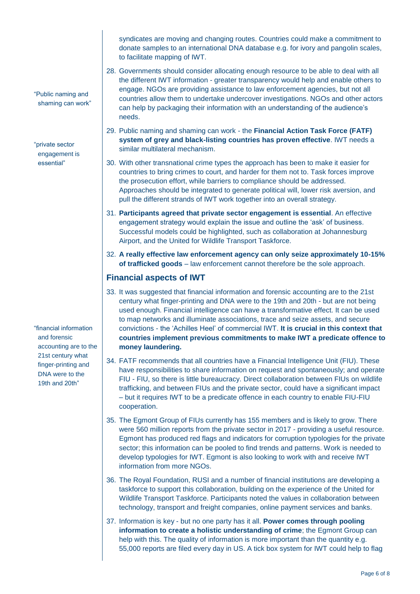syndicates are moving and changing routes. Countries could make a commitment to donate samples to an international DNA database e.g. for ivory and pangolin scales, to facilitate mapping of IWT.

- 28. Governments should consider allocating enough resource to be able to deal with all the different IWT information - greater transparency would help and enable others to engage. NGOs are providing assistance to law enforcement agencies, but not all countries allow them to undertake undercover investigations. NGOs and other actors can help by packaging their information with an understanding of the audience's needs.
- 29. Public naming and shaming can work the **Financial Action Task Force (FATF) system of grey and black-listing countries has proven effective**. IWT needs a similar multilateral mechanism.
- 30. With other transnational crime types the approach has been to make it easier for countries to bring crimes to court, and harder for them not to. Task forces improve the prosecution effort, while barriers to compliance should be addressed. Approaches should be integrated to generate political will, lower risk aversion, and pull the different strands of IWT work together into an overall strategy.
- 31. **Participants agreed that private sector engagement is essential**. An effective engagement strategy would explain the issue and outline the 'ask' of business. Successful models could be highlighted, such as collaboration at Johannesburg Airport, and the United for Wildlife Transport Taskforce.
- 32. **A really effective law enforcement agency can only seize approximately 10-15% of trafficked goods** – law enforcement cannot therefore be the sole approach.

### **Financial aspects of IWT**

- 33. It was suggested that financial information and forensic accounting are to the 21st century what finger-printing and DNA were to the 19th and 20th - but are not being used enough. Financial intelligence can have a transformative effect. It can be used to map networks and illuminate associations, trace and seize assets, and secure convictions - the 'Achilles Heel' of commercial IWT. **It is crucial in this context that countries implement previous commitments to make IWT a predicate offence to money laundering.**
- 34. FATF recommends that all countries have a Financial Intelligence Unit (FIU). These have responsibilities to share information on request and spontaneously; and operate FIU - FIU, so there is little bureaucracy. Direct collaboration between FIUs on wildlife trafficking, and between FIUs and the private sector, could have a significant impact – but it requires IWT to be a predicate offence in each country to enable FIU-FIU cooperation.
- 35. The Egmont Group of FIUs currently has 155 members and is likely to grow. There were 560 million reports from the private sector in 2017 - providing a useful resource. Egmont has produced red flags and indicators for corruption typologies for the private sector; this information can be pooled to find trends and patterns. Work is needed to develop typologies for IWT. Egmont is also looking to work with and receive IWT information from more NGOs.
- 36. The Royal Foundation, RUSI and a number of financial institutions are developing a taskforce to support this collaboration, building on the experience of the United for Wildlife Transport Taskforce. Participants noted the values in collaboration between technology, transport and freight companies, online payment services and banks.
- 37. Information is key but no one party has it all. **Power comes through pooling information to create a holistic understanding of crime**; the Egmont Group can help with this. The quality of information is more important than the quantity e.g. 55,000 reports are filed every day in US. A tick box system for IWT could help to flag

"financial information and forensic accounting are to the 21st century what finger-printing and DNA were to the 19th and 20th"

"Public naming and shaming can work"

"private sector engagement is essential"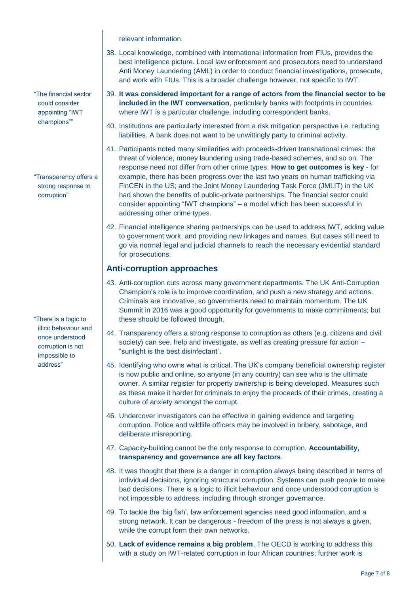relevant information.

- "The financial sector could consider appointing "IWT champions""
- "Transparency offers a strong response to corruption"

"There is a logic to illicit behaviour and once understood corruption is not impossible to address"

- 38. Local knowledge, combined with international information from FIUs, provides the best intelligence picture. Local law enforcement and prosecutors need to understand Anti Money Laundering (AML) in order to conduct financial investigations, prosecute, and work with FIUs. This is a broader challenge however, not specific to IWT.
	- 39. **It was considered important for a range of actors from the financial sector to be included in the IWT conversation**, particularly banks with footprints in countries where IWT is a particular challenge, including correspondent banks.
	- 40. Institutions are particularly interested from a risk mitigation perspective i.e. reducing liabilities. A bank does not want to be unwittingly party to criminal activity.
	- 41. Participants noted many similarities with proceeds-driven transnational crimes: the threat of violence, money laundering using trade-based schemes, and so on. The response need not differ from other crime types. **How to get outcomes is key** - for example, there has been progress over the last two years on human trafficking via FinCEN in the US; and the Joint Money Laundering Task Force (JMLIT) in the UK had shown the benefits of public-private partnerships. The financial sector could consider appointing "IWT champions" – a model which has been successful in addressing other crime types.
	- 42. Financial intelligence sharing partnerships can be used to address IWT, adding value to government work, and providing new linkages and names. But cases still need to go via normal legal and judicial channels to reach the necessary evidential standard for prosecutions.

## **Anti-corruption approaches**

- 43. Anti-corruption cuts across many government departments. The UK Anti-Corruption Champion's role is to improve coordination, and push a new strategy and actions. Criminals are innovative, so governments need to maintain momentum. The UK Summit in 2016 was a good opportunity for governments to make commitments; but these should be followed through.
- 44. Transparency offers a strong response to corruption as others (e.g. citizens and civil society) can see, help and investigate, as well as creating pressure for action – "sunlight is the best disinfectant".
- 45. Identifying who owns what is critical. The UK's company beneficial ownership register is now public and online, so anyone (in any country) can see who is the ultimate owner. A similar register for property ownership is being developed. Measures such as these make it harder for criminals to enjoy the proceeds of their crimes, creating a culture of anxiety amongst the corrupt.
- 46. Undercover investigators can be effective in gaining evidence and targeting corruption. Police and wildlife officers may be involved in bribery, sabotage, and deliberate misreporting.
- 47. Capacity-building cannot be the only response to corruption. **Accountability, transparency and governance are all key factors**.
- 48. It was thought that there is a danger in corruption always being described in terms of individual decisions, ignoring structural corruption. Systems can push people to make bad decisions. There is a logic to illicit behaviour and once understood corruption is not impossible to address, including through stronger governance.
- 49. To tackle the 'big fish', law enforcement agencies need good information, and a strong network. It can be dangerous - freedom of the press is not always a given, while the corrupt form their own networks.
- 50. **Lack of evidence remains a big problem**. The OECD is working to address this with a study on IWT-related corruption in four African countries; further work is